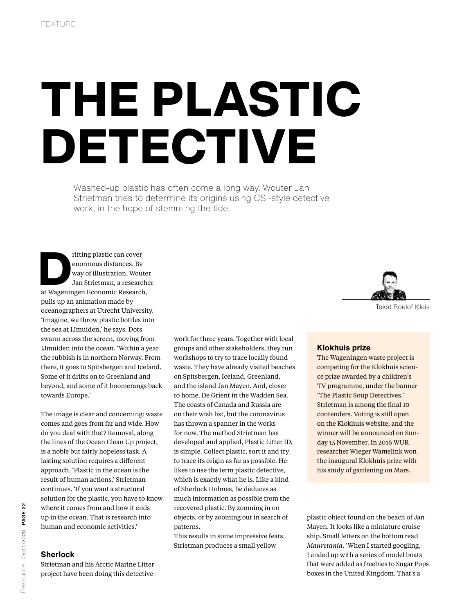# THE PLASTIC DETECTIVE

Washed-up plastic has often come a long way. Wouter Jan Strietman tries to determine its origins using CSI-style detective work, in the hope of stemming the tide.

rifting plastic can cover<br>
enormous distances. By<br>
way of illustration, Woute<br>
Jan Strietman, a research<br>
at Wageningen Economic Research, enormous distances. By way of illustration, Wouter Jan Strietman, a researcher pulls up an animation made by oceanographers at Utrecht University. 'Imagine, we throw plastic bottles into the sea at IJmuiden,' he says. Dots swarm across the screen, moving from IJmuiden into the ocean. 'Within a year the rubbish is in northern Norway. From there, it goes to Spitsbergen and Iceland. Some of it drifts on to Greenland and beyond, and some of it boomerangs back towards Europe.'

The image is clear and concerning: waste comes and goes from far and wide. How do you deal with that? Removal, along the lines of the Ocean Clean Up project, is a noble but fairly hopeless task. A lasting solution requires a different approach. 'Plastic in the ocean is the result of human actions,' Strietman continues. 'If you want a structural solution for the plastic, you have to know where it comes from and how it ends up in the ocean. That is research into human and economic activities.'

## **Sherlock**

Strietman and his Arctic Marine Litter project have been doing this detective

work for three years. Together with local groups and other stakeholders, they run workshops to try to trace locally found waste. They have already visited beaches on Spitsbergen, Iceland, Greenland, and the island Jan Mayen. And, closer to home, De Grient in the Wadden Sea. The coasts of Canada and Russia are on their wish list, but the coronavirus has thrown a spanner in the works for now. The method Strietman has developed and applied, Plastic Litter ID, is simple. Collect plastic, sort it and try to trace its origin as far as possible. He likes to use the term plastic detective, which is exactly what he is. Like a kind of Sherlock Holmes, he deduces as much information as possible from the recovered plastic. By zooming in on objects, or by zooming out in search of patterns.

This results in some impressive feats. Strietman produces a small yellow



Tekst Roelof Kleis

#### **Klokhuis prize**

The Wageningen waste project is competing for the Klokhuis science prize awarded by a children's TV programme, under the banner 'The Plastic Soup Detectives.' Strietman is among the final 10 contenders. Voting is still open on the Klokhuis website, and the winner will be announced on Sunday 15 November. In 2016 WUR researcher Wieger Wamelink won the inaugural Klokhuis prize with his study of gardening on Mars.

plastic object found on the beach of Jan Mayen. It looks like a miniature cruise ship. Small letters on the bottom read *Mauretania*. 'When I started googling, I ended up with a series of model boats that were added as freebies to Sugar Pops boxes in the United Kingdom. That's a